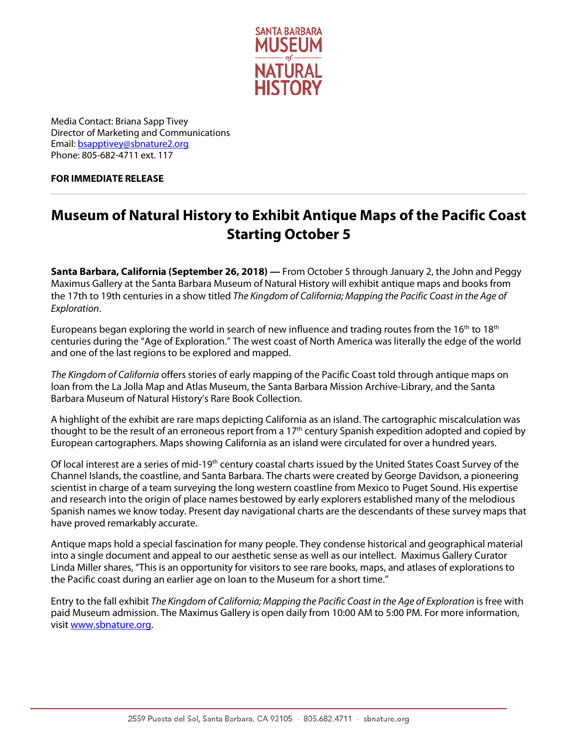

Media Contact: Briana Sapp Tivey Director of Marketing and Communications Email[: bsapptivey@sbnature2.org](mailto:bsapptivey@sbnature2.org) Phone: 805-682-4711 ext. 117

## **FOR IMMEDIATE RELEASE**

## **Museum of Natural History to Exhibit Antique Maps of the Pacific Coast Starting October 5**

**Santa Barbara, California (September 26, 2018) —** From October 5 through January 2, the John and Peggy Maximus Gallery at the Santa Barbara Museum of Natural History will exhibit antique maps and books from the 17th to 19th centuries in a show titled *The Kingdom of California; Mapping the Pacific Coast in the Age of Exploration*.

Europeans began exploring the world in search of new influence and trading routes from the  $16<sup>th</sup>$  to  $18<sup>th</sup>$ centuries during the "Age of Exploration." The west coast of North America was literally the edge of the world and one of the last regions to be explored and mapped.

*The Kingdom of California* offers stories of early mapping of the Pacific Coast told through antique maps on loan from the La Jolla Map and Atlas Museum, the Santa Barbara Mission Archive-Library, and the Santa Barbara Museum of Natural History's Rare Book Collection.

A highlight of the exhibit are rare maps depicting California as an island. The cartographic miscalculation was thought to be the result of an erroneous report from a 17<sup>th</sup> century Spanish expedition adopted and copied by European cartographers. Maps showing California as an island were circulated for over a hundred years.

Of local interest are a series of mid-19th century coastal charts issued by the United States Coast Survey of the Channel Islands, the coastline, and Santa Barbara. The charts were created by George Davidson, a pioneering scientist in charge of a team surveying the long western coastline from Mexico to Puget Sound. His expertise and research into the origin of place names bestowed by early explorers established many of the melodious Spanish names we know today. Present day navigational charts are the descendants of these survey maps that have proved remarkably accurate.

Antique maps hold a special fascination for many people. They condense historical and geographical material into a single document and appeal to our aesthetic sense as well as our intellect. Maximus Gallery Curator Linda Miller shares, "This is an opportunity for visitors to see rare books, maps, and atlases of explorations to the Pacific coast during an earlier age on loan to the Museum for a short time."

Entry to the fall exhibit *The Kingdom of California; Mapping the Pacific Coast in the Age of Exploration* is free with paid Museum admission. The Maximus Gallery is open daily from 10:00 AM to 5:00 PM. For more information, visit [www.sbnature.org.](https://www.sbnature.org/)